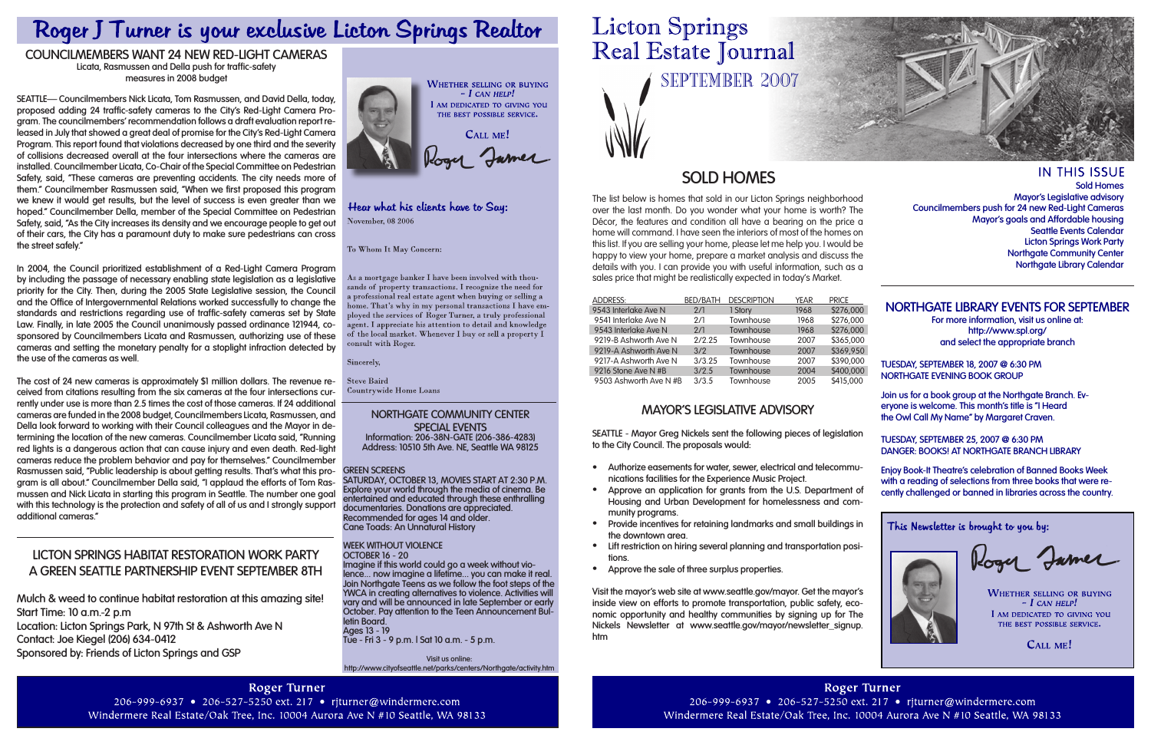Real Estate Journal SEPTEMBER 2007

**Licton Springs** 

# **Sold Homes**

The list below is homes that sold in our Licton Springs neighborhood over the last month. Do you wonder what your home is worth? The Décor, the features and condition all have a bearing on the price a home will command. I have seen the interiors of most of the homes on this list. If you are selling your home, please let me help you. I would be happy to view your home, prepare a market analysis and discuss the details with you. I can provide you with useful information, such as a sales price that might be realistically expected in today's Market.

**IN THIS ISSUE Sold Homes Mayor's Legislative advisory Councilmembers push for 24 new Red-Light Cameras Mayor's goals and Affordable housing Seattle Events Calendar Licton Springs Work Party Northgate Community Center Northgate Library Calendar**

| <b>ADDRESS:</b>        | <b>BED/BATH</b> | <b>DESCRIPTION</b> | <b>YEAR</b> | <b>PRICE</b> |
|------------------------|-----------------|--------------------|-------------|--------------|
| 9543 Interlake Ave N   | 2/1             | 1 Story            | 1968        | \$276,000    |
| 9541 Interlake Ave N   | 2/1             | Townhouse          | 1968        | \$276,000    |
| 9543 Interlake Ave N   | 2/1             | Townhouse          | 1968        | \$276,000    |
| 9219-B Ashworth Ave N  | 2/2.25          | Townhouse          | 2007        | \$365,000    |
| 9219-A Ashworth Ave N  | 3/2             | Townhouse          | 2007        | \$369,950    |
| 9217-A Ashworth Ave N  | 3/3.25          | Townhouse          | 2007        | \$390,000    |
| 9216 Stone Ave N #B    | 3/2.5           | Townhouse          | 2004        | \$400,000    |
| 9503 Ashworth Ave N #B | 3/3.5           | Townhouse          | 2005        | \$415,000    |

# Roger J Turner is your exclusive Licton Springs Realtor

# **COUNCILMEMBERS WANT 24 NEW RED-LIGHT CAMERAS**

**Licata, Rasmussen and Della push for traffic-safety measures in 2008 budget**

**SEATTLE— Councilmembers Nick Licata, Tom Rasmussen, and David Della, today, proposed adding 24 traffic-safety cameras to the City's Red-Light Camera Program. The councilmembers' recommendation follows a draft evaluation report released in July that showed a great deal of promise for the City's Red-Light Camera Program. This report found that violations decreased by one third and the severity of collisions decreased overall at the four intersections where the cameras are installed. Councilmember Licata, Co-Chair of the Special Committee on Pedestrian Safety, said, "These cameras are preventing accidents. The city needs more of them." Councilmember Rasmussen said, "When we first proposed this program we knew it would get results, but the level of success is even greater than we hoped." Councilmember Della, member of the Special Committee on Pedestrian Safety, said, "As the City increases its density and we encourage people to get out of their cars, the City has a paramount duty to make sure pedestrians can cross the street safely."**

**In 2004, the Council prioritized establishment of a Red-Light Camera Program by including the passage of necessary enabling state legislation as a legislative priority for the City. Then, during the 2005 State Legislative session, the Council and the Office of Intergovernmental Relations worked successfully to change the standards and restrictions regarding use of traffic-safety cameras set by State Law. Finally, in late 2005 the Council unanimously passed ordinance 121944, cosponsored by Councilmembers Licata and Rasmussen, authorizing use of these cameras and setting the monetary penalty for a stoplight infraction detected by the use of the cameras as well.**

**The cost of 24 new cameras is approximately \$1 million dollars. The revenue received from citations resulting from the six cameras at the four intersections currently under use is more than 2.5 times the cost of those cameras. If 24 additional cameras are funded in the 2008 budget, Councilmembers Licata, Rasmussen, and Della look forward to working with their Council colleagues and the Mayor in determining the location of the new cameras. Councilmember Licata said, "Running red lights is a dangerous action that can cause injury and even death. Red-light cameras reduce the problem behavior and pay for themselves." Councilmember Rasmussen said, "Public leadership is about getting results. That's what this program is all about." Councilmember Della said, "I applaud the efforts of Tom Rasmussen and Nick Licata in starting this program in Seattle. The number one goal**  with this technology is the protection and safety of all of us and I strongly support **additional cameras."**

### **Green Screens**

**Saturday, October 13, Movies start at 2:30 p.m. Explore your world through the media of cinema. Be entertained and educated through these enthralling documentaries. Donations are appreciated. Recommended for ages 14 and older. Cane Toads: An Unnatural History**

**Week Without Violence October 16 - 20**

**Imagine if this world could go a week without violence... now imagine a lifetime... you can make it real. Join Northgate Teens as we follow the foot steps of the YWCA in creating alternatives to violence. Activities will vary and will be announced in late September or early October. Pay attention to the Teen Announcement Bul- letin Board. Ages 13 - 19**

**Tue - Fri 3 - 9 p.m. | Sat 10 a.m. - 5 p.m.**

**Visit us online: http://www.cityofseattle.net/parks/centers/Northgate/activity.htm**

#### **Northgate Community Center Special Events Information: 206-38N-GATE (206-386-4283) Address: 10510 5th Ave. NE, Seattle WA 98125**

# **LICTON SPRINGS HABITAT RESTORATION WORK PARTY A GREEN SEATTLE PARTNERSHIP EVENT sEPTEMBER 8TH**

**Mulch & weed to continue habitat restoration at this amazing site! Start Time: 10 a.m.-2 p.m Location: Licton Springs Park, N 97th St & Ashworth Ave N Contact: Joe Kiegel (206) 634-0412**

**Sponsored by: Friends of Licton Springs and GSP**



### Hear what his clients have to Say: November, 08 2006

To Whom It May Concern:

As a mortgage banker I have been involved with thouands of property transactions. I recognize the need for a professional real estate agent when buying or selling a nome. That's why in my personal transactions I have employed the services of Roger Turner, a truly professional agent. I appreciate his attention to detail and knowledge of the local market. Whenever I buy or sell a property  $\tilde{I}$ consult with Roger.

Sincerely,

**Steve Baird** Countrywide Home Loans

# **Northgate Library events for September**

**For more information, visit us online at: http://www.spl.org/ and select the appropriate branch**

**Tuesday, September 18, 2007 @ 6:30 pm Northgate Evening Book Group**

**Join us for a book group at the Northgate Branch. Everyone is welcome. This month's title is "I Heard the Owl Call My Name" by Margaret Craven.**

**Enjoy Book-It Theatre's celebration of Banned Books Week with a reading of selections from three books that were recently challenged or banned in libraries across the country.**

This Newsletter is brought to you by:



Roger Jamer

**WHETHER SELLING OR BUYING**  $-I$  CAN HELP! I AM DEDICATED TO GIVING YOU THE BEST POSSIBLE SERVICE.

# CALL ME!

**Tuesday, September 25, 2007 @ 6:30 pm Danger: Books! at Northgate Branch Library SEATTLE - Mayor Greg Nickels sent the following pieces of legislation to the City Council. The proposals would:**

# **Mayor's Legislative Advisory**

- **Authorize easements for water, sewer, electrical and telecommunications facilities for the Experience Music Project. •**
- **Approve an application for grants from the U.S. Department of Housing and Urban Development for homelessness and community programs. •**
- **Provide incentives for retaining landmarks and small buildings in the downtown area. •**
- **Lift restriction on hiring several planning and transportation positions. •**
- **Approve the sale of three surplus properties. •**

**Visit the mayor's web site at www.seattle.gov/mayor. Get the mayor's inside view on efforts to promote transportation, public safety, economic opportunity and healthy communities by signing up for The Nickels Newsletter at www.seattle.gov/mayor/newsletter\_signup. htm**

**Roger Turner** 206-999-6937 • 206-527-5250 ext. 217 • rjturner@windermere.com Windermere Real Estate/Oak Tree, Inc. 10004 Aurora Ave N #10 Seattle, WA 98133